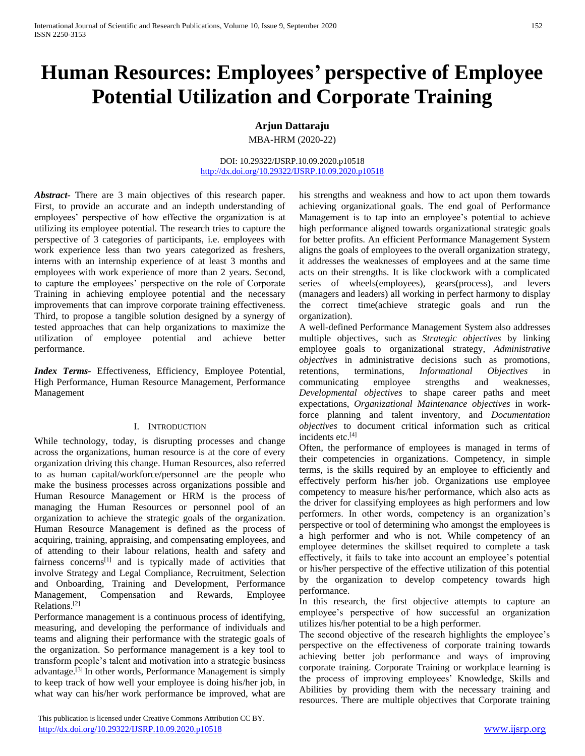# **Human Resources: Employees' perspective of Employee Potential Utilization and Corporate Training**

# **Arjun Dattaraju**

MBA-HRM (2020-22)

## DOI: 10.29322/IJSRP.10.09.2020.p10518 <http://dx.doi.org/10.29322/IJSRP.10.09.2020.p10518>

*Abstract***-** There are 3 main objectives of this research paper. First, to provide an accurate and an indepth understanding of employees' perspective of how effective the organization is at utilizing its employee potential. The research tries to capture the perspective of 3 categories of participants, i.e. employees with work experience less than two years categorized as freshers, interns with an internship experience of at least 3 months and employees with work experience of more than 2 years. Second, to capture the employees' perspective on the role of Corporate Training in achieving employee potential and the necessary improvements that can improve corporate training effectiveness. Third, to propose a tangible solution designed by a synergy of tested approaches that can help organizations to maximize the utilization of employee potential and achieve better performance.

*Index Terms*- Effectiveness, Efficiency, Employee Potential, High Performance, Human Resource Management, Performance Management

# I. INTRODUCTION

While technology, today, is disrupting processes and change across the organizations, human resource is at the core of every organization driving this change. Human Resources, also referred to as human capital/workforce/personnel are the people who make the business processes across organizations possible and Human Resource Management or HRM is the process of managing the Human Resources or personnel pool of an organization to achieve the strategic goals of the organization. Human Resource Management is defined as the process of acquiring, training, appraising, and compensating employees, and of attending to their labour relations, health and safety and fairness concerns<sup>[1]</sup> and is typically made of activities that involve Strategy and Legal Compliance, Recruitment, Selection and Onboarding, Training and Development, Performance Management, Compensation and Rewards, Employee Relations.[2]

Performance management is a continuous process of identifying, measuring, and developing the performance of individuals and teams and aligning their performance with the strategic goals of the organization. So performance management is a key tool to transform people's talent and motivation into a strategic business advantage.[3] In other words, Performance Management is simply to keep track of how well your employee is doing his/her job, in what way can his/her work performance be improved, what are

 This publication is licensed under Creative Commons Attribution CC BY. <http://dx.doi.org/10.29322/IJSRP.10.09.2020.p10518> [www.ijsrp.org](http://ijsrp.org/)

his strengths and weakness and how to act upon them towards achieving organizational goals. The end goal of Performance Management is to tap into an employee's potential to achieve high performance aligned towards organizational strategic goals for better profits. An efficient Performance Management System aligns the goals of employees to the overall organization strategy, it addresses the weaknesses of employees and at the same time acts on their strengths. It is like clockwork with a complicated series of wheels(employees), gears(process), and levers (managers and leaders) all working in perfect harmony to display the correct time(achieve strategic goals and run the organization).

A well-defined Performance Management System also addresses multiple objectives, such as *Strategic objectives* by linking employee goals to organizational strategy, *Administrative objectives* in administrative decisions such as promotions, retentions, terminations, *Informational Objectives* in communicating employee strengths and weaknesses, *Developmental objectives* to shape career paths and meet expectations, *Organizational Maintenance objectives* in workforce planning and talent inventory, and *Documentation objectives* to document critical information such as critical incidents etc.[4]

Often, the performance of employees is managed in terms of their competencies in organizations. Competency, in simple terms, is the skills required by an employee to efficiently and effectively perform his/her job. Organizations use employee competency to measure his/her performance, which also acts as the driver for classifying employees as high performers and low performers. In other words, competency is an organization's perspective or tool of determining who amongst the employees is a high performer and who is not. While competency of an employee determines the skillset required to complete a task effectively, it fails to take into account an employee's potential or his/her perspective of the effective utilization of this potential by the organization to develop competency towards high performance.

In this research, the first objective attempts to capture an employee's perspective of how successful an organization utilizes his/her potential to be a high performer.

The second objective of the research highlights the employee's perspective on the effectiveness of corporate training towards achieving better job performance and ways of improving corporate training. Corporate Training or workplace learning is the process of improving employees' Knowledge, Skills and Abilities by providing them with the necessary training and resources. There are multiple objectives that Corporate training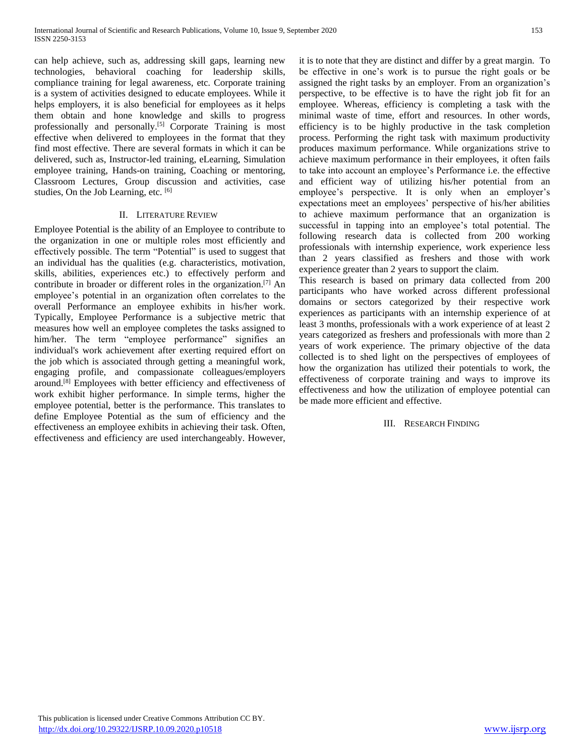can help achieve, such as, addressing skill gaps, learning new technologies, behavioral coaching for leadership skills, compliance training for legal awareness, etc. Corporate training is a system of activities designed to educate employees. While it helps employers, it is also beneficial for employees as it helps them obtain and hone knowledge and skills to progress professionally and personally.[5] Corporate Training is most effective when delivered to employees in the format that they find most effective. There are several formats in which it can be delivered, such as, Instructor-led training, eLearning, Simulation employee training, Hands-on training, Coaching or mentoring, Classroom Lectures, Group discussion and activities, case studies, On the Job Learning, etc. [6]

# II. LITERATURE REVIEW

Employee Potential is the ability of an Employee to contribute to the organization in one or multiple roles most efficiently and effectively possible. The term "Potential" is used to suggest that an individual has the qualities (e.g. characteristics, motivation, skills, abilities, experiences etc.) to effectively perform and contribute in broader or different roles in the organization. [7] An employee's potential in an organization often correlates to the overall Performance an employee exhibits in his/her work. Typically, Employee Performance is a subjective metric that measures how well an employee completes the tasks assigned to him/her. The term "employee performance" signifies an individual's work achievement after exerting required effort on the job which is associated through getting a meaningful work, engaging profile, and compassionate colleagues/employers around. [8] Employees with better efficiency and effectiveness of work exhibit higher performance. In simple terms, higher the employee potential, better is the performance. This translates to define Employee Potential as the sum of efficiency and the effectiveness an employee exhibits in achieving their task. Often, effectiveness and efficiency are used interchangeably. However,

it is to note that they are distinct and differ by a great margin. To be effective in one's work is to pursue the right goals or be assigned the right tasks by an employer. From an organization's perspective, to be effective is to have the right job fit for an employee. Whereas, efficiency is completing a task with the minimal waste of time, effort and resources. In other words, efficiency is to be highly productive in the task completion process. Performing the right task with maximum productivity produces maximum performance. While organizations strive to achieve maximum performance in their employees, it often fails to take into account an employee's Performance i.e. the effective and efficient way of utilizing his/her potential from an employee's perspective. It is only when an employer's expectations meet an employees' perspective of his/her abilities to achieve maximum performance that an organization is successful in tapping into an employee's total potential. The following research data is collected from 200 working professionals with internship experience, work experience less than 2 years classified as freshers and those with work experience greater than 2 years to support the claim.

This research is based on primary data collected from 200 participants who have worked across different professional domains or sectors categorized by their respective work experiences as participants with an internship experience of at least 3 months, professionals with a work experience of at least 2 years categorized as freshers and professionals with more than 2 years of work experience. The primary objective of the data collected is to shed light on the perspectives of employees of how the organization has utilized their potentials to work, the effectiveness of corporate training and ways to improve its effectiveness and how the utilization of employee potential can be made more efficient and effective.

# III. RESEARCH FINDING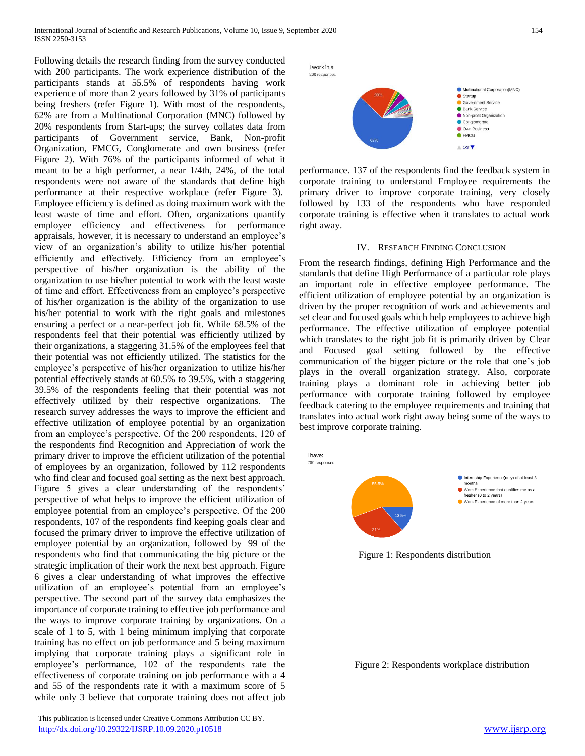Following details the research finding from the survey conducted with 200 participants. The work experience distribution of the participants stands at 55.5% of respondents having work experience of more than 2 years followed by 31% of participants being freshers (refer Figure 1). With most of the respondents, 62% are from a Multinational Corporation (MNC) followed by 20% respondents from Start-ups; the survey collates data from participants of Government service, Bank, Non-profit Organization, FMCG, Conglomerate and own business (refer Figure 2). With 76% of the participants informed of what it meant to be a high performer, a near 1/4th, 24%, of the total respondents were not aware of the standards that define high performance at their respective workplace (refer Figure 3). Employee efficiency is defined as doing maximum work with the least waste of time and effort. Often, organizations quantify employee efficiency and effectiveness for performance appraisals, however, it is necessary to understand an employee's view of an organization's ability to utilize his/her potential efficiently and effectively. Efficiency from an employee's perspective of his/her organization is the ability of the organization to use his/her potential to work with the least waste of time and effort. Effectiveness from an employee's perspective of his/her organization is the ability of the organization to use his/her potential to work with the right goals and milestones ensuring a perfect or a near-perfect job fit. While 68.5% of the respondents feel that their potential was efficiently utilized by their organizations, a staggering 31.5% of the employees feel that their potential was not efficiently utilized. The statistics for the employee's perspective of his/her organization to utilize his/her potential effectively stands at 60.5% to 39.5%, with a staggering 39.5% of the respondents feeling that their potential was not effectively utilized by their respective organizations. The research survey addresses the ways to improve the efficient and effective utilization of employee potential by an organization from an employee's perspective. Of the 200 respondents, 120 of the respondents find Recognition and Appreciation of work the primary driver to improve the efficient utilization of the potential of employees by an organization, followed by 112 respondents who find clear and focused goal setting as the next best approach. Figure 5 gives a clear understanding of the respondents' perspective of what helps to improve the efficient utilization of employee potential from an employee's perspective. Of the 200 respondents, 107 of the respondents find keeping goals clear and focused the primary driver to improve the effective utilization of employee potential by an organization, followed by 99 of the respondents who find that communicating the big picture or the strategic implication of their work the next best approach. Figure 6 gives a clear understanding of what improves the effective utilization of an employee's potential from an employee's perspective. The second part of the survey data emphasizes the importance of corporate training to effective job performance and the ways to improve corporate training by organizations. On a scale of 1 to 5, with 1 being minimum implying that corporate training has no effect on job performance and 5 being maximum implying that corporate training plays a significant role in employee's performance, 102 of the respondents rate the effectiveness of corporate training on job performance with a 4 and 55 of the respondents rate it with a maximum score of 5 while only 3 believe that corporate training does not affect job



performance. 137 of the respondents find the feedback system in corporate training to understand Employee requirements the primary driver to improve corporate training, very closely followed by 133 of the respondents who have responded corporate training is effective when it translates to actual work right away.

## IV. RESEARCH FINDING CONCLUSION

From the research findings, defining High Performance and the standards that define High Performance of a particular role plays an important role in effective employee performance. The efficient utilization of employee potential by an organization is driven by the proper recognition of work and achievements and set clear and focused goals which help employees to achieve high performance. The effective utilization of employee potential which translates to the right job fit is primarily driven by Clear and Focused goal setting followed by the effective communication of the bigger picture or the role that one's job plays in the overall organization strategy. Also, corporate training plays a dominant role in achieving better job performance with corporate training followed by employee feedback catering to the employee requirements and training that translates into actual work right away being some of the ways to best improve corporate training.



Figure 1: Respondents distribution

Figure 2: Respondents workplace distribution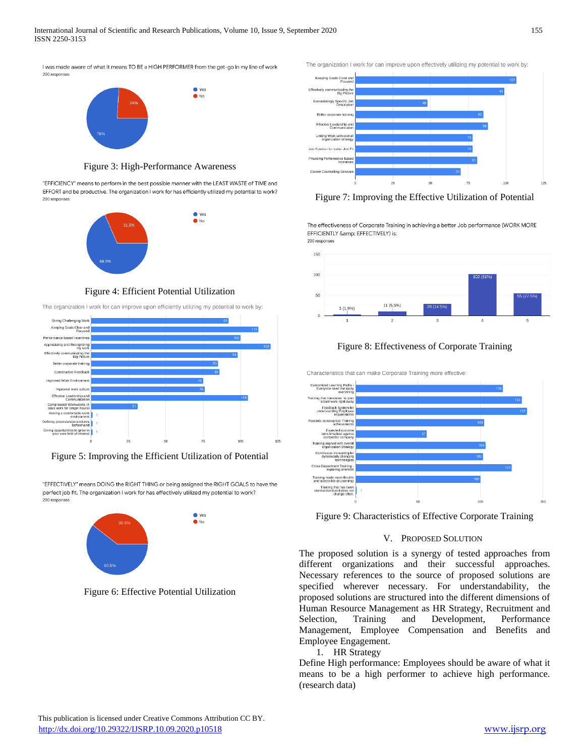I was made aware of what it means TO BE a HIGH PERFORMER from the get-go in my line of work 200 responses



Figure 3: High-Performance Awareness

"EFFICIENCY" means to perform in the best possible manner with the LEAST WASTE of TIME and EFFORT and be productive. The organization I work for has efficiently utilized my potential to work? 200 responses



Figure 4: Efficient Potential Utilization

The organization I work for can improve upon efficiently utilizing my potential to work by:



Figure 5: Improving the Efficient Utilization of Potential

"EFFECTIVELY" means DOING the RIGHT THING or being assigned the RIGHT GOALS to have the perfect job fit. The organization I work for has effectively utilized my potential to work? 200 responses



Figure 6: Effective Potential Utilization

The organization I work for can improve upon effectively utilizing my potential to work by:



Figure 7: Improving the Effective Utilization of Potential

The effectiveness of Corporate Training in achieving a better Job performance (WORK MORE EFFICIENTLY & EFFECTIVELY) is: 200 responses



# Figure 8: Effectiveness of Corporate Training

Characteristics that can make Corporate Training more effective



Figure 9: Characteristics of Effective Corporate Training

# V. PROPOSED SOLUTION

The proposed solution is a synergy of tested approaches from different organizations and their successful approaches. Necessary references to the source of proposed solutions are specified wherever necessary. For understandability, the proposed solutions are structured into the different dimensions of Human Resource Management as HR Strategy, Recruitment and Selection, Training and Development, Performance Management, Employee Compensation and Benefits and Employee Engagement.

# 1. HR Strategy

Define High performance: Employees should be aware of what it means to be a high performer to achieve high performance. (research data)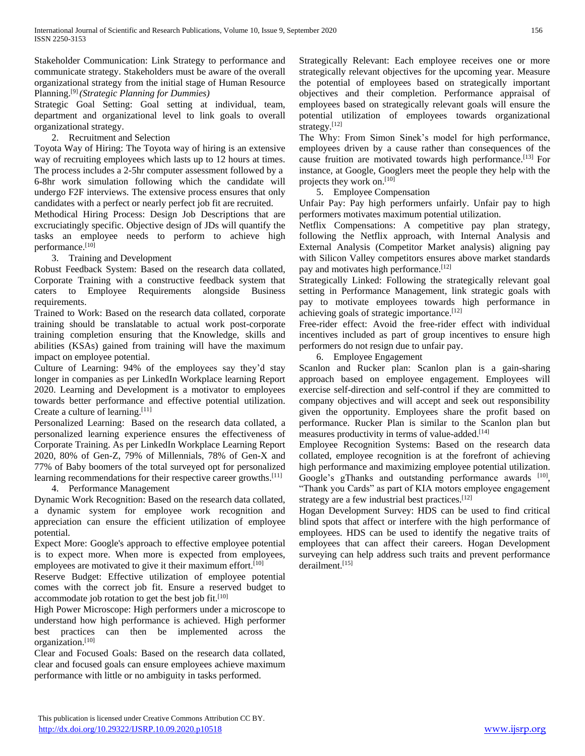Stakeholder Communication: Link Strategy to performance and communicate strategy. Stakeholders must be aware of the overall organizational strategy from the initial stage of Human Resource Planning.[9] *(Strategic Planning for Dummies)*

Strategic Goal Setting: Goal setting at individual, team, department and organizational level to link goals to overall organizational strategy.

2. Recruitment and Selection

Toyota Way of Hiring: The Toyota way of hiring is an extensive way of recruiting employees which lasts up to 12 hours at times. The process includes a 2-5hr computer assessment followed by a 6-8hr work simulation following which the candidate will undergo F2F interviews. The extensive process ensures that only candidates with a perfect or nearly perfect job fit are recruited.

Methodical Hiring Process: Design Job Descriptions that are excruciatingly specific. Objective design of JDs will quantify the tasks an employee needs to perform to achieve high performance.<sup>[10]</sup>

3. Training and Development

Robust Feedback System: Based on the research data collated, Corporate Training with a constructive feedback system that caters to Employee Requirements alongside Business requirements.

Trained to Work: Based on the research data collated, corporate training should be translatable to actual work post-corporate training completion ensuring that the Knowledge, skills and abilities (KSAs) gained from training will have the maximum impact on employee potential.

Culture of Learning: 94% of the employees say they'd stay longer in companies as per LinkedIn Workplace learning Report 2020. Learning and Development is a motivator to employees towards better performance and effective potential utilization. Create a culture of learning.<sup>[11]</sup>

Personalized Learning: Based on the research data collated, a personalized learning experience ensures the effectiveness of Corporate Training. As per LinkedIn Workplace Learning Report 2020, 80% of Gen-Z, 79% of Millennials, 78% of Gen-X and 77% of Baby boomers of the total surveyed opt for personalized learning recommendations for their respective career growths.<sup>[11]</sup>

4. Performance Management

Dynamic Work Recognition: Based on the research data collated, a dynamic system for employee work recognition and appreciation can ensure the efficient utilization of employee potential.

Expect More: Google's approach to effective employee potential is to expect more. When more is expected from employees, employees are motivated to give it their maximum effort.<sup>[10]</sup>

Reserve Budget: Effective utilization of employee potential comes with the correct job fit. Ensure a reserved budget to accommodate job rotation to get the best job fit. $[10]$ 

High Power Microscope: High performers under a microscope to understand how high performance is achieved. High performer best practices can then be implemented across the organization.[10]

Clear and Focused Goals: Based on the research data collated, clear and focused goals can ensure employees achieve maximum performance with little or no ambiguity in tasks performed.

Strategically Relevant: Each employee receives one or more strategically relevant objectives for the upcoming year. Measure the potential of employees based on strategically important objectives and their completion. Performance appraisal of employees based on strategically relevant goals will ensure the potential utilization of employees towards organizational strategy.[12]

The Why: From Simon Sinek's model for high performance, employees driven by a cause rather than consequences of the cause fruition are motivated towards high performance.<sup>[13]</sup> For instance, at Google, Googlers meet the people they help with the projects they work on.[10]

5. Employee Compensation

Unfair Pay: Pay high performers unfairly. Unfair pay to high performers motivates maximum potential utilization.

Netflix Compensations: A competitive pay plan strategy, following the Netflix approach, with Internal Analysis and External Analysis (Competitor Market analysis) aligning pay with Silicon Valley competitors ensures above market standards pay and motivates high performance.<sup>[12]</sup>

Strategically Linked: Following the strategically relevant goal setting in Performance Management, link strategic goals with pay to motivate employees towards high performance in achieving goals of strategic importance.[12]

Free-rider effect: Avoid the free-rider effect with individual incentives included as part of group incentives to ensure high performers do not resign due to unfair pay.

6. Employee Engagement

Scanlon and Rucker plan: Scanlon plan is a gain-sharing approach based on employee engagement. Employees will exercise self-direction and self-control if they are committed to company objectives and will accept and seek out responsibility given the opportunity. Employees share the profit based on performance. Rucker Plan is similar to the Scanlon plan but measures productivity in terms of value-added.<sup>[14]</sup>

Employee Recognition Systems: Based on the research data collated, employee recognition is at the forefront of achieving high performance and maximizing employee potential utilization. Google's gThanks and outstanding performance awards [10], "Thank you Cards" as part of KIA motors employee engagement strategy are a few industrial best practices.<sup>[12]</sup>

Hogan Development Survey: HDS can be used to find critical blind spots that affect or interfere with the high performance of employees. HDS can be used to identify the negative traits of employees that can affect their careers. Hogan Development surveying can help address such traits and prevent performance derailment.[15]